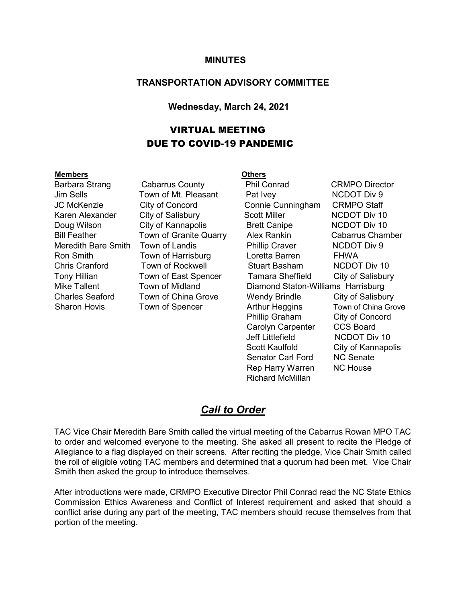#### **MINUTES**

#### **TRANSPORTATION ADVISORY COMMITTEE**

#### **Wednesday, March 24, 2021**

### VIRTUAL MEETING DUE TO COVID-19 PANDEMIC

#### **Members Others**

Barbara Strang Cabarrus County Phil Conrad CRMPO Director Jim Sells Town of Mt. Pleasant Pat Ivey NCDOT Div 9 JC McKenzie City of Concord Connie Cunningham CRMPO Staff Karen Alexander City of Salisbury Scott Miller NCDOT Div 10 Doug Wilson City of Kannapolis Brett Canipe NCDOT Div 10 Bill Feather **Town of Granite Quarry** Alex Rankin Cabarrus Chamber Meredith Bare Smith Town of Landis **Phillip Craver** NCDOT Div 9 Ron Smith Town of Harrisburg Loretta Barren FHWA Chris Cranford Town of Rockwell Stuart Basham NCDOT Div 10 Tony Hillian Town of East Spencer Tamara Sheffield City of Salisbury Mike Tallent Town of Midland Diamond Staton-Williams Harrisburg Charles Seaford Town of China Grove Wendy Brindle City of Salisbury Sharon Hovis **Town of Spencer** Arthur Heggins Town of China Grove Phillip Graham City of Concord Carolyn Carpenter CCS Board Jeff Littlefield NCDOT Div 10 Scott Kaulfold City of Kannapolis<br>Senator Carl Ford NC Senate Senator Carl Ford Rep Harry Warren NC House Richard McMillan

#### *Call to Order*

TAC Vice Chair Meredith Bare Smith called the virtual meeting of the Cabarrus Rowan MPO TAC to order and welcomed everyone to the meeting. She asked all present to recite the Pledge of Allegiance to a flag displayed on their screens. After reciting the pledge, Vice Chair Smith called the roll of eligible voting TAC members and determined that a quorum had been met. Vice Chair Smith then asked the group to introduce themselves.

After introductions were made, CRMPO Executive Director Phil Conrad read the NC State Ethics Commission Ethics Awareness and Conflict of Interest requirement and asked that should a conflict arise during any part of the meeting, TAC members should recuse themselves from that portion of the meeting.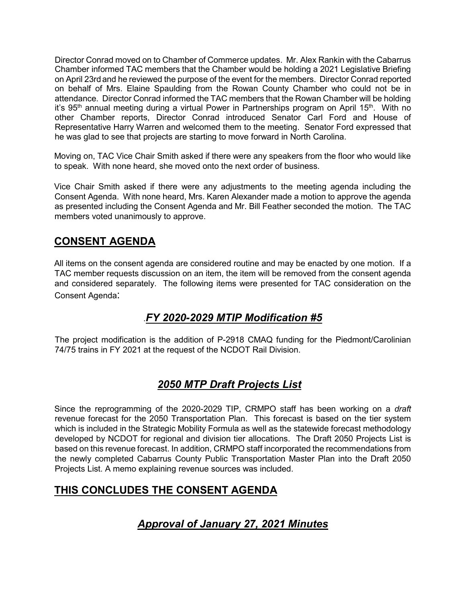Director Conrad moved on to Chamber of Commerce updates. Mr. Alex Rankin with the Cabarrus Chamber informed TAC members that the Chamber would be holding a 2021 Legislative Briefing on April 23rdand he reviewed the purpose of the event for the members. Director Conrad reported on behalf of Mrs. Elaine Spaulding from the Rowan County Chamber who could not be in attendance. Director Conrad informed the TAC members that the Rowan Chamber will be holding it's 95<sup>th</sup> annual meeting during a virtual Power in Partnerships program on April 15<sup>th</sup>. With no other Chamber reports, Director Conrad introduced Senator Carl Ford and House of Representative Harry Warren and welcomed them to the meeting. Senator Ford expressed that he was glad to see that projects are starting to move forward in North Carolina.

Moving on, TAC Vice Chair Smith asked if there were any speakers from the floor who would like to speak. With none heard, she moved onto the next order of business.

Vice Chair Smith asked if there were any adjustments to the meeting agenda including the Consent Agenda. With none heard, Mrs. Karen Alexander made a motion to approve the agenda as presented including the Consent Agenda and Mr. Bill Feather seconded the motion. The TAC members voted unanimously to approve.

## **CONSENT AGENDA**

All items on the consent agenda are considered routine and may be enacted by one motion. If a TAC member requests discussion on an item, the item will be removed from the consent agenda and considered separately. The following items were presented for TAC consideration on the Consent Agenda:

## .*FY 2020-2029 MTIP Modification #5*

The project modification is the addition of P-2918 CMAQ funding for the Piedmont/Carolinian 74/75 trains in FY 2021 at the request of the NCDOT Rail Division.

# *2050 MTP Draft Projects List*

Since the reprogramming of the 2020-2029 TIP, CRMPO staff has been working on a *draft* revenue forecast for the 2050 Transportation Plan. This forecast is based on the tier system which is included in the Strategic Mobility Formula as well as the statewide forecast methodology developed by NCDOT for regional and division tier allocations. The Draft 2050 Projects List is based on this revenue forecast. In addition, CRMPO staff incorporated the recommendations from the newly completed Cabarrus County Public Transportation Master Plan into the Draft 2050 Projects List. A memo explaining revenue sources was included.

#### **THIS CONCLUDES THE CONSENT AGENDA**

# *Approval of January 27, 2021 Minutes*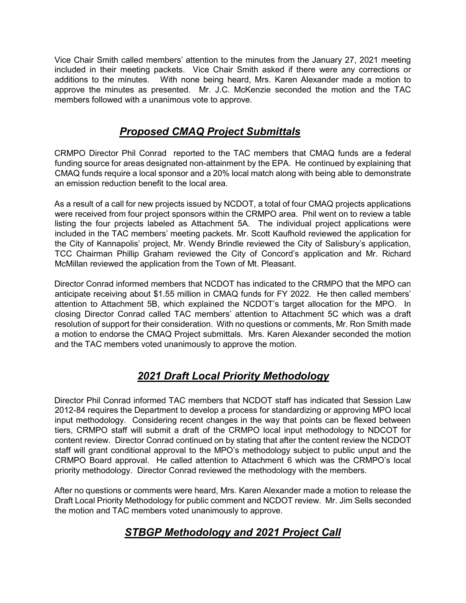Vice Chair Smith called members' attention to the minutes from the January 27, 2021 meeting included in their meeting packets. Vice Chair Smith asked if there were any corrections or additions to the minutes. With none being heard, Mrs. Karen Alexander made a motion to approve the minutes as presented. Mr. J.C. McKenzie seconded the motion and the TAC members followed with a unanimous vote to approve.

## *Proposed CMAQ Project Submittals*

CRMPO Director Phil Conrad reported to the TAC members that CMAQ funds are a federal funding source for areas designated non-attainment by the EPA. He continued by explaining that CMAQ funds require a local sponsor and a 20% local match along with being able to demonstrate an emission reduction benefit to the local area.

As a result of a call for new projects issued by NCDOT, a total of four CMAQ projects applications were received from four project sponsors within the CRMPO area. Phil went on to review a table listing the four projects labeled as Attachment 5A. The individual project applications were included in the TAC members' meeting packets. Mr. Scott Kaufhold reviewed the application for the City of Kannapolis' project, Mr. Wendy Brindle reviewed the City of Salisbury's application, TCC Chairman Phillip Graham reviewed the City of Concord's application and Mr. Richard McMillan reviewed the application from the Town of Mt. Pleasant.

Director Conrad informed members that NCDOT has indicated to the CRMPO that the MPO can anticipate receiving about \$1.55 million in CMAQ funds for FY 2022. He then called members' attention to Attachment 5B, which explained the NCDOT's target allocation for the MPO. In closing Director Conrad called TAC members' attention to Attachment 5C which was a draft resolution of support for their consideration. With no questions or comments, Mr. Ron Smith made a motion to endorse the CMAQ Project submittals. Mrs. Karen Alexander seconded the motion and the TAC members voted unanimously to approve the motion.

# *2021 Draft Local Priority Methodology*

Director Phil Conrad informed TAC members that NCDOT staff has indicated that Session Law 2012-84 requires the Department to develop a process for standardizing or approving MPO local input methodology. Considering recent changes in the way that points can be flexed between tiers, CRMPO staff will submit a draft of the CRMPO local input methodology to NDCOT for content review. Director Conrad continued on by stating that after the content review the NCDOT staff will grant conditional approval to the MPO's methodology subject to public unput and the CRMPO Board approval. He called attention to Attachment 6 which was the CRMPO's local priority methodology. Director Conrad reviewed the methodology with the members.

After no questions or comments were heard, Mrs. Karen Alexander made a motion to release the Draft Local Priority Methodology for public comment and NCDOT review. Mr. Jim Sells seconded the motion and TAC members voted unanimously to approve.

# *STBGP Methodology and 2021 Project Call*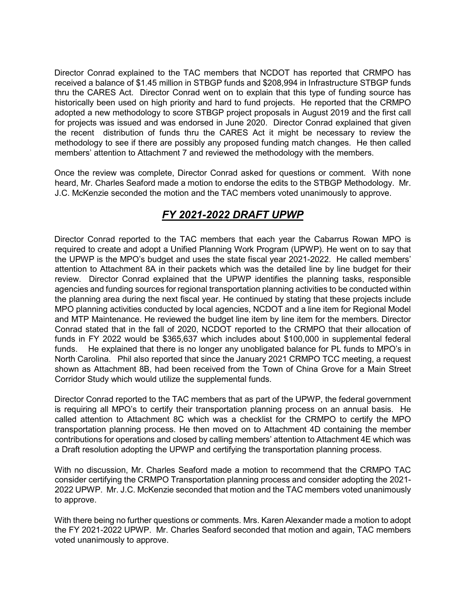Director Conrad explained to the TAC members that NCDOT has reported that CRMPO has received a balance of \$1.45 million in STBGP funds and \$208,994 in Infrastructure STBGP funds thru the CARES Act. Director Conrad went on to explain that this type of funding source has historically been used on high priority and hard to fund projects. He reported that the CRMPO adopted a new methodology to score STBGP project proposals in August 2019 and the first call for projects was issued and was endorsed in June 2020. Director Conrad explained that given the recent distribution of funds thru the CARES Act it might be necessary to review the methodology to see if there are possibly any proposed funding match changes. He then called members' attention to Attachment 7 and reviewed the methodology with the members.

Once the review was complete, Director Conrad asked for questions or comment. With none heard, Mr. Charles Seaford made a motion to endorse the edits to the STBGP Methodology. Mr. J.C. McKenzie seconded the motion and the TAC members voted unanimously to approve.

## *FY 2021-2022 DRAFT UPWP*

Director Conrad reported to the TAC members that each year the Cabarrus Rowan MPO is required to create and adopt a Unified Planning Work Program (UPWP). He went on to say that the UPWP is the MPO's budget and uses the state fiscal year 2021-2022. He called members' attention to Attachment 8A in their packets which was the detailed line by line budget for their review. Director Conrad explained that the UPWP identifies the planning tasks, responsible agencies and funding sources for regional transportation planning activities to be conducted within the planning area during the next fiscal year. He continued by stating that these projects include MPO planning activities conducted by local agencies, NCDOT and a line item for Regional Model and MTP Maintenance. He reviewed the budget line item by line item for the members. Director Conrad stated that in the fall of 2020, NCDOT reported to the CRMPO that their allocation of funds in FY 2022 would be \$365,637 which includes about \$100,000 in supplemental federal funds. He explained that there is no longer any unobligated balance for PL funds to MPO's in North Carolina. Phil also reported that since the January 2021 CRMPO TCC meeting, a request shown as Attachment 8B, had been received from the Town of China Grove for a Main Street Corridor Study which would utilize the supplemental funds.

Director Conrad reported to the TAC members that as part of the UPWP, the federal government is requiring all MPO's to certify their transportation planning process on an annual basis. He called attention to Attachment 8C which was a checklist for the CRMPO to certify the MPO transportation planning process. He then moved on to Attachment 4D containing the member contributions for operations and closed by calling members' attention to Attachment 4E which was a Draft resolution adopting the UPWP and certifying the transportation planning process.

With no discussion, Mr. Charles Seaford made a motion to recommend that the CRMPO TAC consider certifying the CRMPO Transportation planning process and consider adopting the 2021- 2022 UPWP. Mr. J.C. McKenzie seconded that motion and the TAC members voted unanimously to approve.

With there being no further questions or comments. Mrs. Karen Alexander made a motion to adopt the FY 2021-2022 UPWP. Mr. Charles Seaford seconded that motion and again, TAC members voted unanimously to approve.